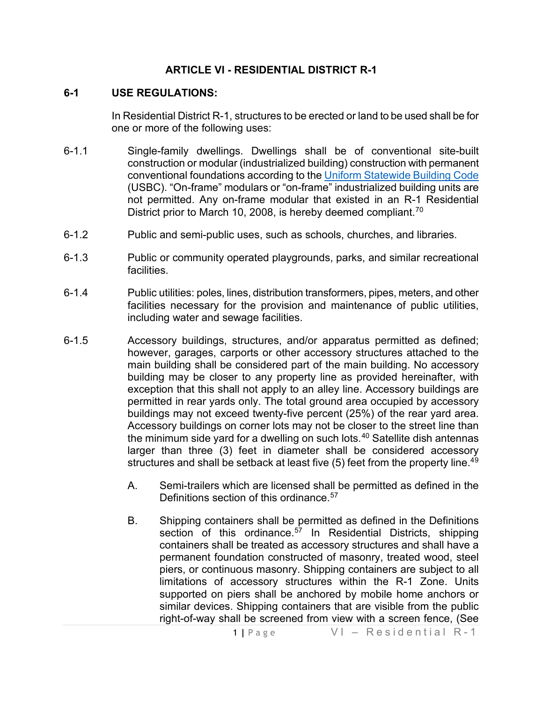#### **ARTICLE VI - RESIDENTIAL DISTRICT R-1**

#### **6-1 USE REGULATIONS:**

In Residential District R-1, structures to be erected or land to be used shall be for one or more of the following uses:

- 6-1.1 Single-family dwellings. Dwellings shall be of conventional site-built construction or modular (industrialized building) construction with permanent conventional foundations according to the [Uniform Statewide](https://law.lis.virginia.gov/vacode/title36/chapter6/) Building Code (USBC). "On-frame" modulars or "on-frame" industrialized building units are not permitted. Any on-frame modular that existed in an R-1 Residential District prior to March 10, 2008, is hereby deemed compliant.<sup>[70](#page-4-0)</sup>
- 6-1.2 Public and semi-public uses, such as schools, churches, and libraries.
- 6-1.3 Public or community operated playgrounds, parks, and similar recreational facilities.
- 6-1.4 Public utilities: poles, lines, distribution transformers, pipes, meters, and other facilities necessary for the provision and maintenance of public utilities, including water and sewage facilities.
- 6-1.5 Accessory buildings, structures, and/or apparatus permitted as defined; however, garages, carports or other accessory structures attached to the main building shall be considered part of the main building. No accessory building may be closer to any property line as provided hereinafter, with exception that this shall not apply to an alley line. Accessory buildings are permitted in rear yards only. The total ground area occupied by accessory buildings may not exceed twenty-five percent (25%) of the rear yard area. Accessory buildings on corner lots may not be closer to the street line than the minimum side yard for a dwelling on such lots.[40](#page-4-1) Satellite dish antennas larger than three (3) feet in diameter shall be considered accessory structures and shall be setback at least five (5) feet from the property line.<sup>[49](#page-4-2)</sup>
	- A. Semi-trailers which are licensed shall be permitted as defined in the Definitions section of this ordinance.<sup>[57](#page-4-3)</sup>
	- B. Shipping containers shall be permitted as defined in the Definitions section of this ordinance.<sup>[57](#page-4-4)</sup> In Residential Districts, shipping containers shall be treated as accessory structures and shall have a permanent foundation constructed of masonry, treated wood, steel piers, or continuous masonry. Shipping containers are subject to all limitations of accessory structures within the R-1 Zone. Units supported on piers shall be anchored by mobile home anchors or similar devices. Shipping containers that are visible from the public right-of-way shall be screened from view with a screen fence, (See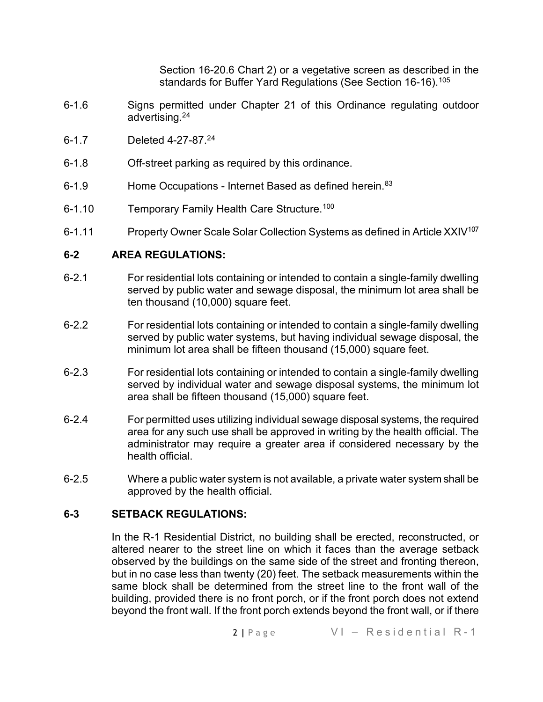Section 16-20.6 Chart 2) or a vegetative screen as described in the standards for Buffer Yard Regulations (See Section 16-16).<sup>[105](#page-4-5)</sup>

- 6-1.6 Signs permitted under Chapter 21 of this Ordinance regulating outdoor advertising.2[4](#page-4-6)
- 6-1.7 Deleted 4-27-87.2[4](#page-4-7)
- 6-1.8 Off-street parking as required by this ordinance.
- 6-1.9 Home Occupations Internet Based as defined herein.<sup>[83](#page-4-8)</sup>
- 6-1.10 Temporary Family Health Care Structure.<sup>[100](#page-4-9)</sup>
- 6-1.11 Property Owner Scale Solar Collection Systems as defined in Article XXIV<sup>[107](#page-4-10)</sup>

## **6-2 AREA REGULATIONS:**

- 6-2.1 For residential lots containing or intended to contain a single-family dwelling served by public water and sewage disposal, the minimum lot area shall be ten thousand (10,000) square feet.
- 6-2.2 For residential lots containing or intended to contain a single-family dwelling served by public water systems, but having individual sewage disposal, the minimum lot area shall be fifteen thousand (15,000) square feet.
- 6-2.3 For residential lots containing or intended to contain a single-family dwelling served by individual water and sewage disposal systems, the minimum lot area shall be fifteen thousand (15,000) square feet.
- 6-2.4 For permitted uses utilizing individual sewage disposal systems, the required area for any such use shall be approved in writing by the health official. The administrator may require a greater area if considered necessary by the health official.
- 6-2.5 Where a public water system is not available, a private water system shall be approved by the health official.

## **6-3 SETBACK REGULATIONS:**

In the R-1 Residential District, no building shall be erected, reconstructed, or altered nearer to the street line on which it faces than the average setback observed by the buildings on the same side of the street and fronting thereon, but in no case less than twenty (20) feet. The setback measurements within the same block shall be determined from the street line to the front wall of the building, provided there is no front porch, or if the front porch does not extend beyond the front wall. If the front porch extends beyond the front wall, or if there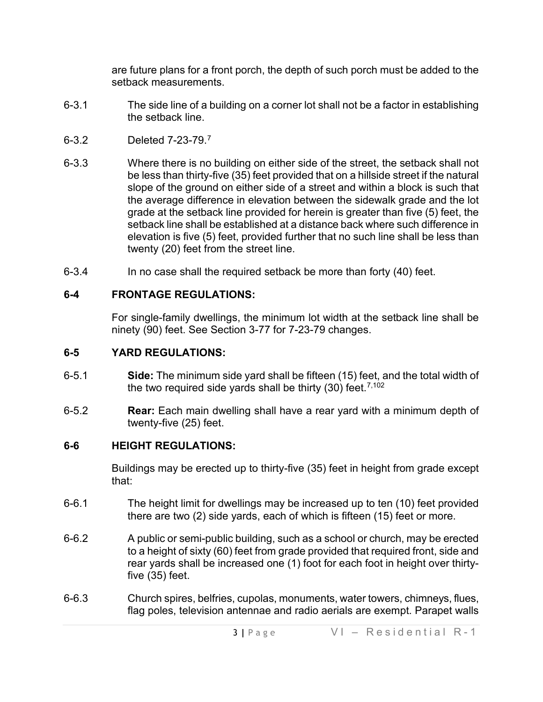are future plans for a front porch, the depth of such porch must be added to the setback measurements.

- 6-3.1 The side line of a building on a corner lot shall not be a factor in establishing the setback line.
- 6-3.2 Deleted 7-23-79.[7](#page-4-11)
- 6-3.3 Where there is no building on either side of the street, the setback shall not be less than thirty-five (35) feet provided that on a hillside street if the natural slope of the ground on either side of a street and within a block is such that the average difference in elevation between the sidewalk grade and the lot grade at the setback line provided for herein is greater than five (5) feet, the setback line shall be established at a distance back where such difference in elevation is five (5) feet, provided further that no such line shall be less than twenty (20) feet from the street line.
- 6-3.4 In no case shall the required setback be more than forty (40) feet.

# **6-4 FRONTAGE REGULATIONS:**

For single-family dwellings, the minimum lot width at the setback line shall be ninety (90) feet. See Section 3-77 for 7-23-79 changes.

## **6-5 YARD REGULATIONS:**

- 6-5.1 **Side:** The minimum side yard shall be fifteen (15) feet, and the total width of the two required side yards shall be thirty (30) feet. [7,102](#page-4-12)
- 6-5.2 **Rear:** Each main dwelling shall have a rear yard with a minimum depth of twenty-five (25) feet.

# **6-6 HEIGHT REGULATIONS:**

Buildings may be erected up to thirty-five (35) feet in height from grade except that:

- 6-6.1 The height limit for dwellings may be increased up to ten (10) feet provided there are two (2) side yards, each of which is fifteen (15) feet or more.
- 6-6.2 A public or semi-public building, such as a school or church, may be erected to a height of sixty (60) feet from grade provided that required front, side and rear yards shall be increased one (1) foot for each foot in height over thirtyfive (35) feet.
- 6-6.3 Church spires, belfries, cupolas, monuments, water towers, chimneys, flues, flag poles, television antennae and radio aerials are exempt. Parapet walls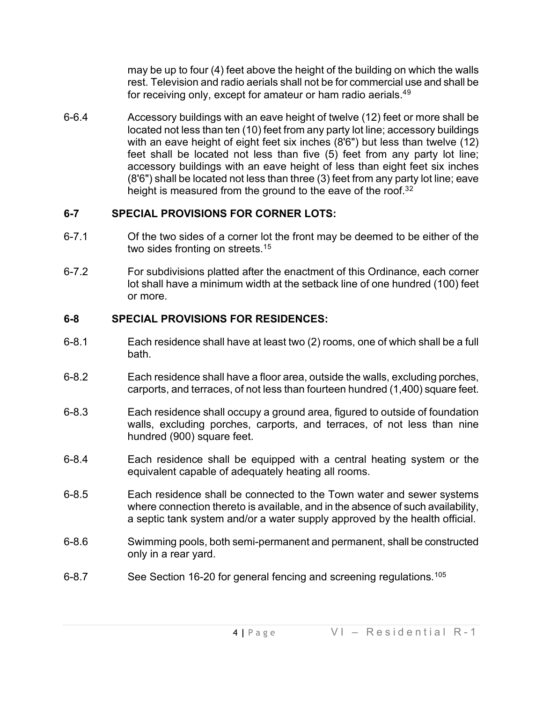may be up to four (4) feet above the height of the building on which the walls rest. Television and radio aerials shall not be for commercial use and shall be for receiving only, except for amateur or ham radio aerials.<sup>4[9](#page-4-13)</sup>

6-6.4 Accessory buildings with an eave height of twelve (12) feet or more shall be located not less than ten (10) feet from any party lot line; accessory buildings with an eave height of eight feet six inches (8'6") but less than twelve (12) feet shall be located not less than five (5) feet from any party lot line; accessory buildings with an eave height of less than eight feet six inches (8'6") shall be located not less than three (3) feet from any party lot line; eave height is measured from the ground to the eave of the roof.<sup>3[2](#page-4-14)</sup>

## **6-7 SPECIAL PROVISIONS FOR CORNER LOTS:**

- 6-7.1 Of the two sides of a corner lot the front may be deemed to be either of the two sides fronting on streets.<sup>1[5](#page-4-15)</sup>
- 6-7.2 For subdivisions platted after the enactment of this Ordinance, each corner lot shall have a minimum width at the setback line of one hundred (100) feet or more.

## **6-8 SPECIAL PROVISIONS FOR RESIDENCES:**

- 6-8.1 Each residence shall have at least two (2) rooms, one of which shall be a full bath.
- 6-8.2 Each residence shall have a floor area, outside the walls, excluding porches, carports, and terraces, of not less than fourteen hundred (1,400) square feet.
- 6-8.3 Each residence shall occupy a ground area, figured to outside of foundation walls, excluding porches, carports, and terraces, of not less than nine hundred (900) square feet.
- 6-8.4 Each residence shall be equipped with a central heating system or the equivalent capable of adequately heating all rooms.
- 6-8.5 Each residence shall be connected to the Town water and sewer systems where connection thereto is available, and in the absence of such availability, a septic tank system and/or a water supply approved by the health official.
- 6-8.6 Swimming pools, both semi-permanent and permanent, shall be constructed only in a rear yard.
- 6-8.7 See Section 16-20 for general fencing and screening regulations.<sup>[105](#page-4-16)</sup>